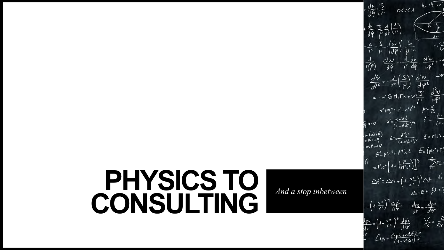# **PHYSICS TO** *And a stop inbetween* **CONSULTING**

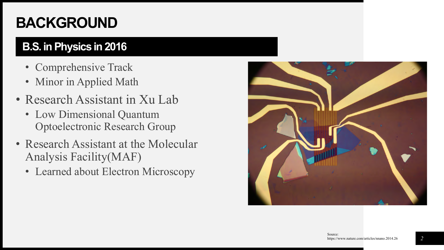## **BACKGROUND**

## **B.S. in Physics in 2016**

- Comprehensive Track
- Minor in Applied Math
- Research Assistant in Xu Lab
	- Low Dimensional Quantum Optoelectronic Research Group
- Research Assistant at the Molecular Analysis Facility(MAF)
	- Learned about Electron Microscopy

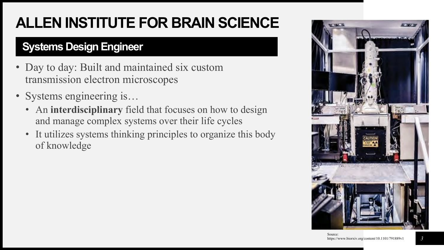# **ALLEN INSTITUTE FOR BRAIN SCIENCE**

### **Systems Design Engineer**

- Day to day: Built and maintained six custom transmission electron microscopes
- Systems engineering is...
	- An **interdisciplinary** field that focuses on how to design and manage complex systems over their life cycles
	- It utilizes systems thinking principles to organize this body of knowledge



*3*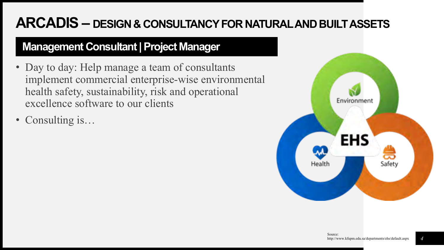## **ARCADIS – DESIGN & CONSULTANCY FOR NATURAL AND BUILT ASSETS**

#### **Management Consultant | Project Manager**

- Day to day: Help manage a team of consultants implement commercial enterprise-wise environmental health safety, sustainability, risk and operational excellence software to our clients
- Consulting is...

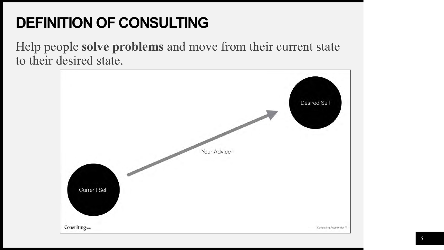# **DEFINITION OF CONSULTING**

Help people **solve problems** and move from their current state to their desired state.

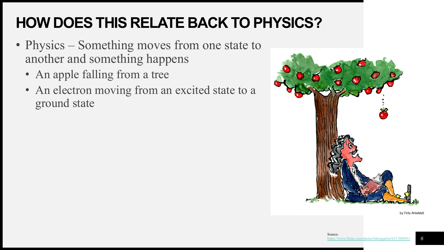## **HOW DOES THIS RELATE BACK TO PHYSICS?**

- Physics Something moves from one state to another and something happens
	- An apple falling from a tree
	- An electron moving from an excited state to a ground state



by Frits Ahlefeld